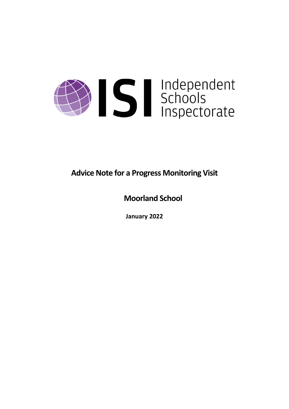

**Advice Note for a Progress Monitoring Visit**

**Moorland School**

**January 2022**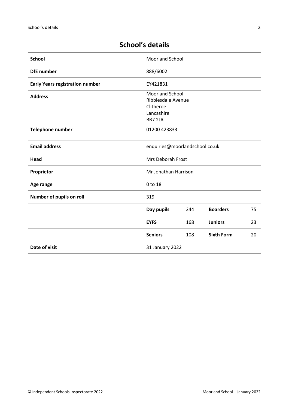# **School's details**

| <b>School</b>                          | <b>Moorland School</b>                                                                    |     |                   |    |
|----------------------------------------|-------------------------------------------------------------------------------------------|-----|-------------------|----|
| <b>DfE</b> number                      | 888/6002                                                                                  |     |                   |    |
| <b>Early Years registration number</b> | EY421831                                                                                  |     |                   |    |
| <b>Address</b>                         | <b>Moorland School</b><br>Ribblesdale Avenue<br>Clitheroe<br>Lancashire<br><b>BB7 2JA</b> |     |                   |    |
| <b>Telephone number</b>                | 01200 423833                                                                              |     |                   |    |
| <b>Email address</b>                   | enquiries@moorlandschool.co.uk                                                            |     |                   |    |
| Head                                   | Mrs Deborah Frost                                                                         |     |                   |    |
| Proprietor                             | Mr Jonathan Harrison                                                                      |     |                   |    |
| Age range                              | 0 to 18                                                                                   |     |                   |    |
| Number of pupils on roll               | 319                                                                                       |     |                   |    |
|                                        | Day pupils                                                                                | 244 | <b>Boarders</b>   | 75 |
|                                        | <b>EYFS</b>                                                                               | 168 | <b>Juniors</b>    | 23 |
|                                        | <b>Seniors</b>                                                                            | 108 | <b>Sixth Form</b> | 20 |
| Date of visit                          | 31 January 2022                                                                           |     |                   |    |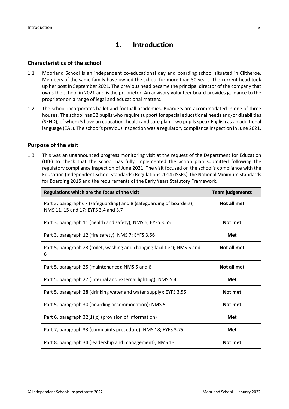# **1. Introduction**

### **Characteristics of the school**

- 1.1 Moorland School is an independent co-educational day and boarding school situated in Clitheroe. Members of the same family have owned the school for more than 30 years. The current head took up her post in September 2021. The previous head became the principal director of the company that owns the school in 2021 and is the proprietor. An advisory volunteer board provides guidance to the proprietor on a range of legal and educational matters.
- 1.2 The school incorporates ballet and football academies. Boarders are accommodated in one of three houses. The school has 32 pupils who require support for special educational needs and/or disabilities (SEND), of whom 5 have an education, health and care plan. Two pupils speak English as an additional language (EAL). The school's previous inspection was a regulatory compliance inspection in June 2021.

#### **Purpose of the visit**

1.3 This was an unannounced progress monitoring visit at the request of the Department for Education (DfE) to check that the school has fully implemented the action plan submitted following the regulatory compliance inspection of June 2021. The visit focused on the school's compliance with the Education (Independent School Standards) Regulations 2014 (ISSRs), the National Minimum Standards for Boarding 2015 and the requirements of the Early Years Statutory Framework.

| Regulations which are the focus of the visit                                                                 | <b>Team judgements</b> |
|--------------------------------------------------------------------------------------------------------------|------------------------|
| Part 3, paragraphs 7 (safeguarding) and 8 (safeguarding of boarders);<br>NMS 11, 15 and 17; EYFS 3.4 and 3.7 | Not all met            |
| Part 3, paragraph 11 (health and safety); NMS 6; EYFS 3.55                                                   | Not met                |
| Part 3, paragraph 12 (fire safety); NMS 7; EYFS 3.56                                                         | Met                    |
| Part 5, paragraph 23 (toilet, washing and changing facilities); NMS 5 and<br>6                               | Not all met            |
| Part 5, paragraph 25 (maintenance); NMS 5 and 6                                                              | Not all met            |
| Part 5, paragraph 27 (internal and external lighting); NMS 5.4                                               | <b>Met</b>             |
| Part 5, paragraph 28 (drinking water and water supply); EYFS 3.55                                            | Not met                |
| Part 5, paragraph 30 (boarding accommodation); NMS 5                                                         | Not met                |
| Part 6, paragraph 32(1)(c) (provision of information)                                                        | Met                    |
| Part 7, paragraph 33 (complaints procedure); NMS 18; EYFS 3.75                                               | Met                    |
| Part 8, paragraph 34 (leadership and management); NMS 13                                                     | Not met                |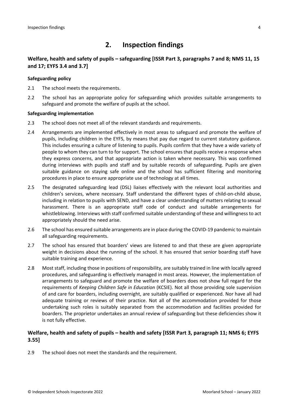# **2. Inspection findings**

### **Welfare, health and safety of pupils – safeguarding [ISSR Part 3, paragraphs 7 and 8; NMS 11, 15 and 17; EYFS 3.4 and 3.7]**

#### **Safeguarding policy**

- 2.1 The school meets the requirements.
- 2.2 The school has an appropriate policy for safeguarding which provides suitable arrangements to safeguard and promote the welfare of pupils at the school.

#### **Safeguarding implementation**

- 2.3 The school does not meet all of the relevant standards and requirements.
- 2.4 Arrangements are implemented effectively in most areas to safeguard and promote the welfare of pupils, including children in the EYFS, by means that pay due regard to current statutory guidance. This includes ensuring a culture of listening to pupils. Pupils confirm that they have a wide variety of people to whom they can turn to for support. The school ensures that pupils receive a response when they express concerns, and that appropriate action is taken where necessary. This was confirmed during interviews with pupils and staff and by suitable records of safeguarding. Pupils are given suitable guidance on staying safe online and the school has sufficient filtering and monitoring procedures in place to ensure appropriate use of technology at all times.
- 2.5 The designated safeguarding lead (DSL) liaises effectively with the relevant local authorities and children's services, where necessary. Staff understand the different types of child-on-child abuse, including in relation to pupils with SEND, and have a clear understanding of matters relating to sexual harassment. There is an appropriate staff code of conduct and suitable arrangements for whistleblowing. Interviews with staff confirmed suitable understanding of these and willingness to act appropriately should the need arise.
- 2.6 The school has ensured suitable arrangements are in place during the COVID-19 pandemic to maintain all safeguarding requirements.
- 2.7 The school has ensured that boarders' views are listened to and that these are given appropriate weight in decisions about the running of the school. It has ensured that senior boarding staff have suitable training and experience.
- 2.8 Most staff, including those in positions of responsibility, are suitably trained in line with locally agreed procedures, and safeguarding is effectively managed in most areas. However, the implementation of arrangements to safeguard and promote the welfare of boarders does not show full regard for the requirements of *Keeping Children Safe in Education* (KCSIE). Not all those providing sole supervision of and care for boarders, including overnight, are suitably qualified or experienced. Nor have all had adequate training or reviews of their practice. Not all of the accommodation provided for those undertaking such roles is suitably separated from the accommodation and facilities provided for boarders. The proprietor undertakes an annual review of safeguarding but these deficiencies show it is not fully effective.

### **Welfare, health and safety of pupils – health and safety [ISSR Part 3, paragraph 11; NMS 6; EYFS 3.55]**

2.9 The school does not meet the standards and the requirement.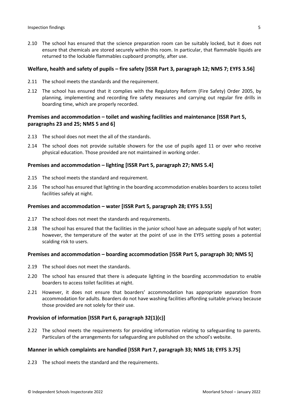2.10 The school has ensured that the science preparation room can be suitably locked, but it does not ensure that chemicals are stored securely within this room. In particular, that flammable liquids are returned to the lockable flammables cupboard promptly, after use.

#### **Welfare, health and safety of pupils – fire safety [ISSR Part 3, paragraph 12; NMS 7; EYFS 3.56]**

- 2.11 The school meets the standards and the requirement.
- 2.12 The school has ensured that it complies with the Regulatory Reform (Fire Safety) Order 2005, by planning, implementing and recording fire safety measures and carrying out regular fire drills in boarding time, which are properly recorded.

#### **Premises and accommodation – toilet and washing facilities and maintenance [ISSR Part 5, paragraphs 23 and 25; NMS 5 and 6]**

- 2.13 The school does not meet the all of the standards.
- 2.14 The school does not provide suitable showers for the use of pupils aged 11 or over who receive physical education. Those provided are not maintained in working order.

#### **Premises and accommodation – lighting [ISSR Part 5, paragraph 27; NMS 5.4]**

- 2.15 The school meets the standard and requirement.
- 2.16 The school has ensured that lighting in the boarding accommodation enables boarders to access toilet facilities safely at night.

#### **Premises and accommodation – water [ISSR Part 5, paragraph 28; EYFS 3.55]**

- 2.17 The school does not meet the standards and requirements.
- 2.18 The school has ensured that the facilities in the junior school have an adequate supply of hot water; however, the temperature of the water at the point of use in the EYFS setting poses a potential scalding risk to users.

#### **Premises and accommodation – boarding accommodation [ISSR Part 5, paragraph 30; NMS 5]**

- 2.19 The school does not meet the standards.
- 2.20 The school has ensured that there is adequate lighting in the boarding accommodation to enable boarders to access toilet facilities at night.
- 2.21 However, it does not ensure that boarders' accommodation has appropriate separation from accommodation for adults. Boarders do not have washing facilities affording suitable privacy because those provided are not solely for their use.

#### **Provision of information [ISSR Part 6, paragraph 32(1)(c)]**

2.22 The school meets the requirements for providing information relating to safeguarding to parents. Particulars of the arrangements for safeguarding are published on the school's website.

#### **Manner in which complaints are handled [ISSR Part 7, paragraph 33; NMS 18; EYFS 3.75]**

2.23 The school meets the standard and the requirements.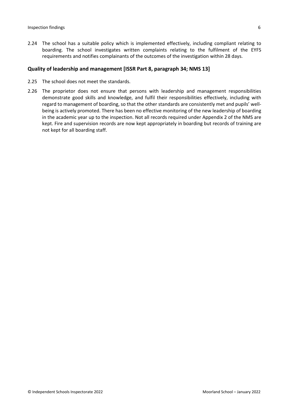2.24 The school has a suitable policy which is implemented effectively, including compliant relating to boarding. The school investigates written complaints relating to the fulfilment of the EYFS requirements and notifies complainants of the outcomes of the investigation within 28 days.

#### **Quality of leadership and management [ISSR Part 8, paragraph 34; NMS 13]**

- 2.25 The school does not meet the standards.
- 2.26 The proprietor does not ensure that persons with leadership and management responsibilities demonstrate good skills and knowledge, and fulfil their responsibilities effectively, including with regard to management of boarding, so that the other standards are consistently met and pupils' wellbeing is actively promoted. There has been no effective monitoring of the new leadership of boarding in the academic year up to the inspection. Not all records required under Appendix 2 of the NMS are kept. Fire and supervision records are now kept appropriately in boarding but records of training are not kept for all boarding staff.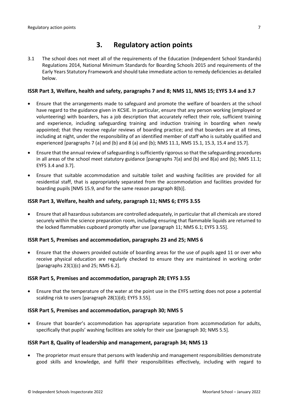## **3. Regulatory action points**

3.1 The school does not meet all of the requirements of the Education (Independent School Standards) Regulations 2014, National Minimum Standards for Boarding Schools 2015 and requirements of the Early Years Statutory Framework and should take immediate action to remedy deficiencies as detailed below.

#### ISSR Part 3, Welfare, health and safety, paragraphs 7 and 8; NMS 11, NMS 15; EYFS 3.4 and 3.7

- Ensure that the arrangements made to safeguard and promote the welfare of boarders at the school have regard to the guidance given in KCSIE. In particular, ensure that any person working (employed or volunteering) with boarders, has a job description that accurately reflect their role, sufficient training and experience, including safeguarding training and induction training in boarding when newly appointed; that they receive regular reviews of boarding practice; and that boarders are at all times, including at night, under the responsibility of an identified member of staff who is suitably qualified and experienced [paragraphs 7 (a) and (b) and 8 (a) and (b); NMS 11.1, NMS 15.1, 15.3, 15.4 and 15.7].
- Ensure that the annual review ofsafeguarding issufficiently rigorousso that the safeguarding procedures in all areas of the school meet statutory guidance [paragraphs 7(a) and (b) and 8(a) and (b); NMS 11.1; EYFS 3.4 and 3.7].
- Ensure that suitable accommodation and suitable toilet and washing facilities are provided for all residential staff, that is appropriately separated from the accommodation and facilities provided for boarding pupils [NMS 15.9, and for the same reason paragraph 8(b)].

#### **ISSR Part 3, Welfare, health and safety, paragraph 11; NMS 6; EYFS 3.55**

 Ensure that all hazardoussubstances are controlled adequately, in particular that all chemicals are stored securely within the science preparation room, including ensuring that flammable liquids are returned to the locked flammables cupboard promptly after use [paragraph 11; NMS 6.1; EYFS 3.55].

#### **ISSR Part 5, Premises and accommodation, paragraphs 23 and 25; NMS 6**

 Ensure that the showers provided outside of boarding areas for the use of pupils aged 11 or over who receive physical education are regularly checked to ensure they are maintained in working order [paragraphs 23(1)(c) and 25; NMS 6.2].

#### **ISSR Part 5, Premises and accommodation, paragraph 28; EYFS 3.55**

 Ensure that the temperature of the water at the point use in the EYFS setting does not pose a potential scalding risk to users [paragraph 28(1)(d); EYFS 3.55].

#### **ISSR Part 5, Premises and accommodation, paragraph 30; NMS 5**

 Ensure that boarder's accommodation has appropriate separation from accommodation for adults, specifically that pupils' washing facilities are solely for their use [paragraph 30; NMS 5.5].

#### **ISSR Part 8, Quality of leadership and management, paragraph 34; NMS 13**

 The proprietor must ensure that persons with leadership and management responsibilities demonstrate good skills and knowledge, and fulfil their responsibilities effectively, including with regard to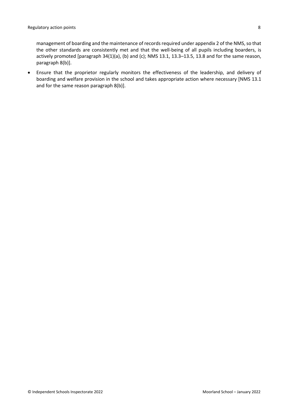management of boarding and the maintenance of records required under appendix 2 of the NMS, so that the other standards are consistently met and that the well-being of all pupils including boarders, is actively promoted [paragraph 34(1)(a), (b) and (c); NMS 13.1, 13.3–13.5, 13.8 and for the same reason, paragraph 8(b)].

 Ensure that the proprietor regularly monitors the effectiveness of the leadership, and delivery of boarding and welfare provision in the school and takes appropriate action where necessary [NMS 13.1 and for the same reason paragraph 8(b)].